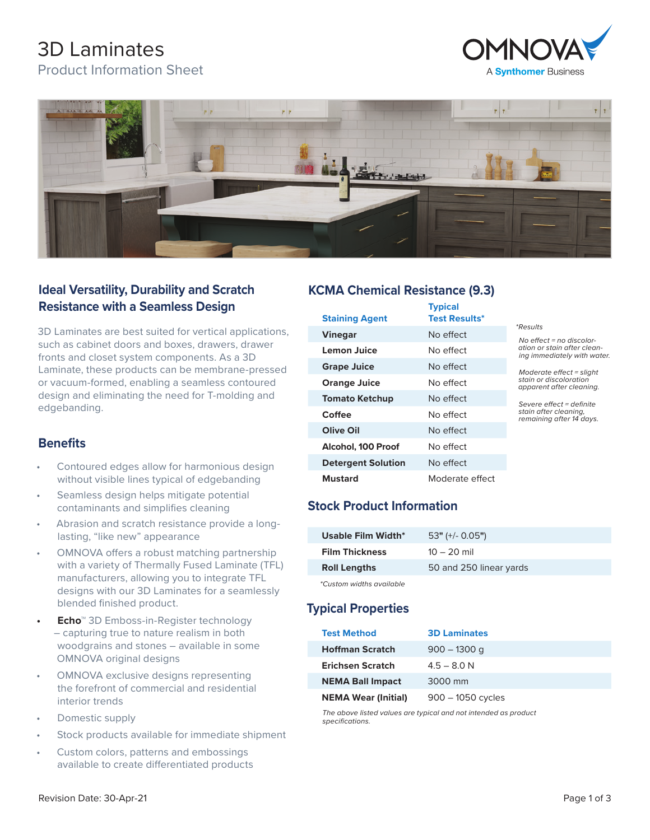# 3D Laminates

Product Information Sheet





## **Ideal Versatility, Durability and Scratch Resistance with a Seamless Design**

3D Laminates are best suited for vertical applications, such as cabinet doors and boxes, drawers, drawer fronts and closet system components. As a 3D Laminate, these products can be membrane-pressed or vacuum-formed, enabling a seamless contoured design and eliminating the need for T-molding and edgebanding.

## **Benefits**

- Contoured edges allow for harmonious design without visible lines typical of edgebanding
- Seamless design helps mitigate potential contaminants and simplifies cleaning
- Abrasion and scratch resistance provide a longlasting, "like new" appearance
- OMNOVA offers a robust matching partnership with a variety of Thermally Fused Laminate (TFL) manufacturers, allowing you to integrate TFL designs with our 3D Laminates for a seamlessly blended finished product.
- **• Echo**™ 3D Emboss-in-Register technology – capturing true to nature realism in both woodgrains and stones – available in some OMNOVA original designs
- OMNOVA exclusive designs representing the forefront of commercial and residential interior trends
- Domestic supply
- Stock products available for immediate shipment
- Custom colors, patterns and embossings available to create differentiated products

#### **KCMA Chemical Resistance (9.3)**

| <b>Staining Agent</b>     | <b>Typical</b><br><b>Test Results*</b> |                                                                                                                                                                 |
|---------------------------|----------------------------------------|-----------------------------------------------------------------------------------------------------------------------------------------------------------------|
| <b>Vinegar</b>            | No effect                              | <i>*Results</i><br>No effect = no discolor-<br>ation or stain after clean-<br>ing immediately with water.                                                       |
| Lemon Juice               | No effect                              |                                                                                                                                                                 |
| <b>Grape Juice</b>        | No effect                              | Moderate effect = slight<br>stain or discoloration<br>apparent after cleaning.<br>Severe effect = definite<br>stain after cleaning,<br>remaining after 14 days. |
| <b>Orange Juice</b>       | No effect                              |                                                                                                                                                                 |
| <b>Tomato Ketchup</b>     | No effect                              |                                                                                                                                                                 |
| Coffee                    | No effect                              |                                                                                                                                                                 |
| Olive Oil                 | No effect                              |                                                                                                                                                                 |
| Alcohol, 100 Proof        | No effect                              |                                                                                                                                                                 |
| <b>Detergent Solution</b> | No effect                              |                                                                                                                                                                 |
| <b>Mustard</b>            | Moderate effect                        |                                                                                                                                                                 |

## **Stock Product Information**

| $53"$ (+/- 0.05")       |
|-------------------------|
| $10 - 20$ mil           |
| 50 and 250 linear yards |
|                         |

*\*Custom widths available*

## **Typical Properties**

| <b>Test Method</b>         | <b>3D Laminates</b> |
|----------------------------|---------------------|
| <b>Hoffman Scratch</b>     | $900 - 1300$ q      |
| <b>Erichsen Scratch</b>    | $4.5 - 8.0 N$       |
| <b>NEMA Ball Impact</b>    | 3000 mm             |
| <b>NEMA Wear (Initial)</b> | $900 - 1050$ cycles |

*The above listed values are typical and not intended as product specifications.*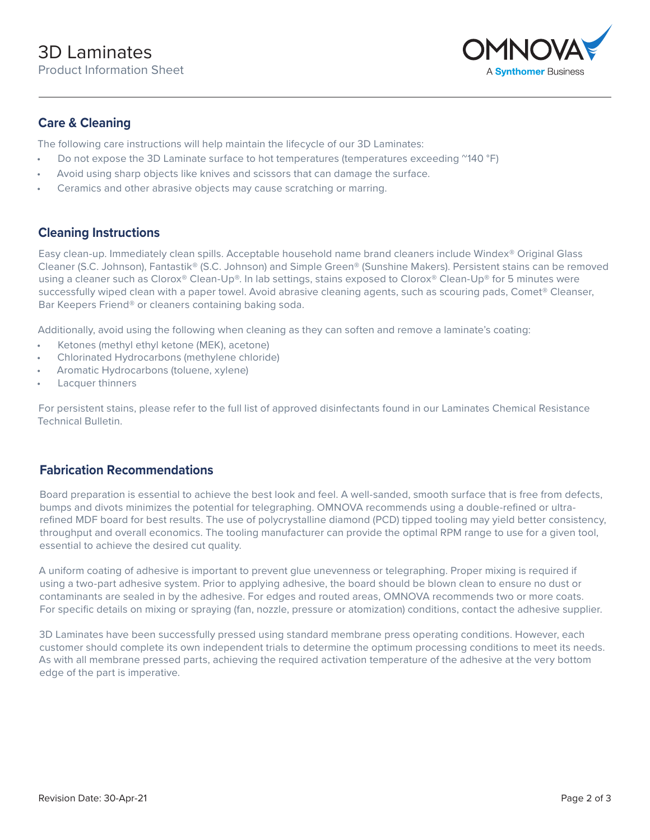

#### **Care & Cleaning**

The following care instructions will help maintain the lifecycle of our 3D Laminates:

- Do not expose the 3D Laminate surface to hot temperatures (temperatures exceeding  $^{\prime\prime}$ 140 °F)
- Avoid using sharp objects like knives and scissors that can damage the surface.
- Ceramics and other abrasive objects may cause scratching or marring.

#### **Cleaning Instructions**

Easy clean-up. Immediately clean spills. Acceptable household name brand cleaners include Windex® Original Glass Cleaner (S.C. Johnson), Fantastik® (S.C. Johnson) and Simple Green® (Sunshine Makers). Persistent stains can be removed using a cleaner such as Clorox® Clean-Up®. In lab settings, stains exposed to Clorox® Clean-Up® for 5 minutes were successfully wiped clean with a paper towel. Avoid abrasive cleaning agents, such as scouring pads, Comet® Cleanser, Bar Keepers Friend® or cleaners containing baking soda.

Additionally, avoid using the following when cleaning as they can soften and remove a laminate's coating:

- Ketones (methyl ethyl ketone (MEK), acetone)
- Chlorinated Hydrocarbons (methylene chloride)
- Aromatic Hydrocarbons (toluene, xylene)
- Lacquer thinners

For persistent stains, please refer to the full list of approved disinfectants found in our Laminates Chemical Resistance Technical Bulletin.

#### **Fabrication Recommendations**

Board preparation is essential to achieve the best look and feel. A well-sanded, smooth surface that is free from defects, bumps and divots minimizes the potential for telegraphing. OMNOVA recommends using a double-refined or ultrarefined MDF board for best results. The use of polycrystalline diamond (PCD) tipped tooling may yield better consistency, throughput and overall economics. The tooling manufacturer can provide the optimal RPM range to use for a given tool, essential to achieve the desired cut quality.

A uniform coating of adhesive is important to prevent glue unevenness or telegraphing. Proper mixing is required if using a two-part adhesive system. Prior to applying adhesive, the board should be blown clean to ensure no dust or contaminants are sealed in by the adhesive. For edges and routed areas, OMNOVA recommends two or more coats. For specific details on mixing or spraying (fan, nozzle, pressure or atomization) conditions, contact the adhesive supplier.

3D Laminates have been successfully pressed using standard membrane press operating conditions. However, each customer should complete its own independent trials to determine the optimum processing conditions to meet its needs. As with all membrane pressed parts, achieving the required activation temperature of the adhesive at the very bottom edge of the part is imperative.